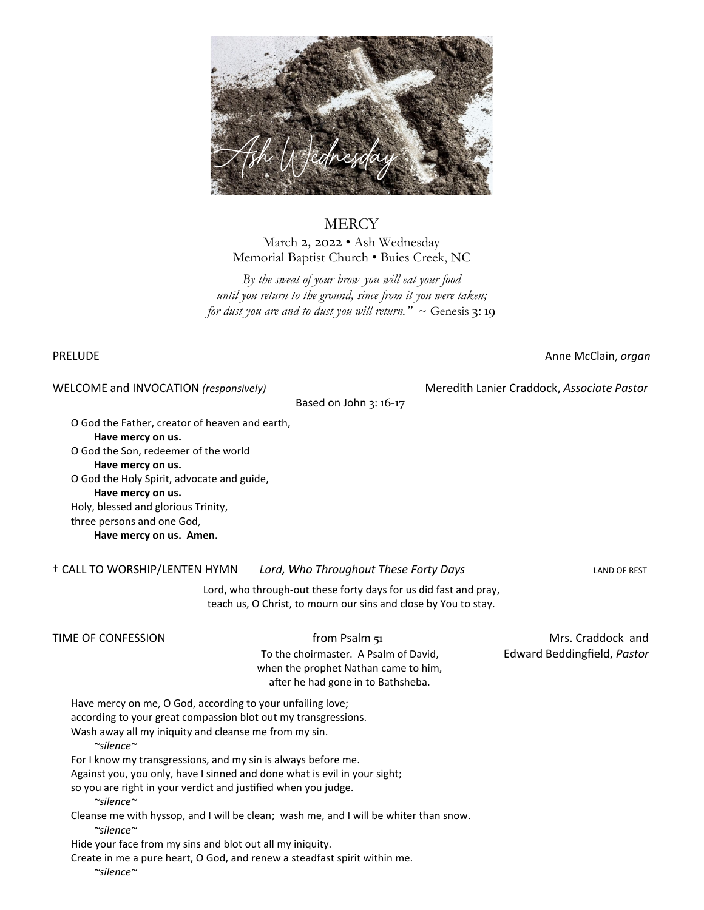

## **MERCY**

March 2, 2022 • Ash Wednesday Memorial Baptist Church • Buies Creek, NC

*By the sweat of your brow you will eat your food until you return to the ground, since from it you were taken; for dust you are and to dust you will return.*"  $\sim$  Genesis 3:19

PRELUDE **Anne McClain**, *organ* 

WELCOME and INVOCATION *(responsively)* Meredith Lanier Craddock, *Associate Pastor*

Based on John 3: 16-17

 O God the Father, creator of heaven and earth, **Have mercy on us.**

 O God the Son, redeemer of the world **Have mercy on us.**

 O God the Holy Spirit, advocate and guide, **Have mercy on us.** Holy, blessed and glorious Trinity, three persons and one God,

**Have mercy on us. Amen.**

† CALL TO WORSHIP/LENTEN HYMN *Lord, Who Throughout These Forty Days* LAND OF REST

Lord, who through-out these forty days for us did fast and pray, teach us, O Christ, to mourn our sins and close by You to stay.

## TIME OF CONFESSION **From Psalm 51** From Psalm 51

 To the choirmaster. A Psalm of David, Edward Beddingfield, *Pastor* when the prophet Nathan came to him, after he had gone in to Bathsheba.

Have mercy on me, O God, according to your unfailing love;

according to your great compassion blot out my transgressions.

Wash away all my iniquity and cleanse me from my sin.

*~silence~*

For I know my transgressions, and my sin is always before me.

Against you, you only, have I sinned and done what is evil in your sight;

so you are right in your verdict and justified when you judge.

*~silence~*

 Cleanse me with hyssop, and I will be clean; wash me, and I will be whiter than snow. *~silence~*

Hide your face from my sins and blot out all my iniquity.

Create in me a pure heart, O God, and renew a steadfast spirit within me.

*~silence~*